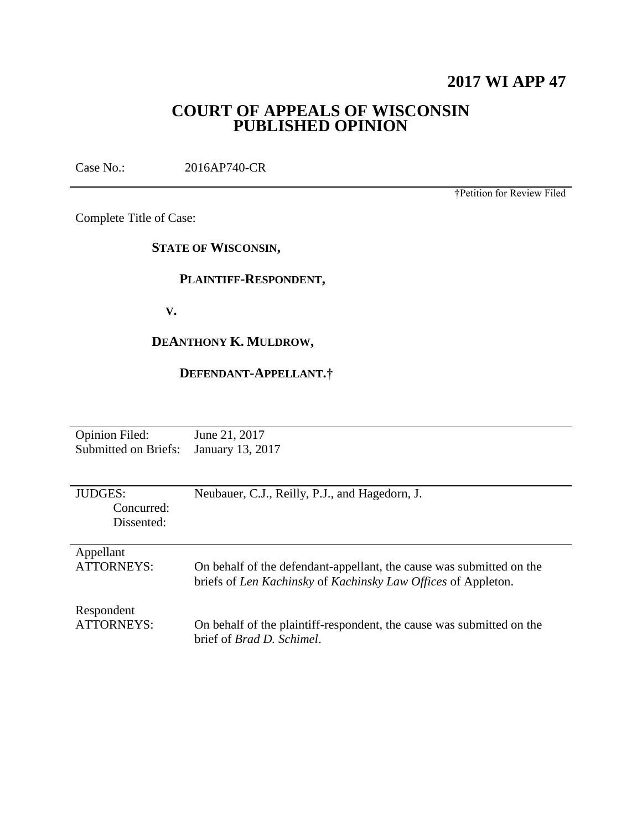# **2017 WI APP 47**

## **COURT OF APPEALS OF WISCONSIN PUBLISHED OPINION**

Case No.: 2016AP740-CR

†Petition for Review Filed

Complete Title of Case:

**STATE OF WISCONSIN,**

## **PLAINTIFF-RESPONDENT,**

 **V.**

# **DEANTHONY K. MULDROW,**

## **DEFENDANT-APPELLANT.†**

| <b>Opinion Filed:</b>       | June 21, 2017                                                         |
|-----------------------------|-----------------------------------------------------------------------|
| <b>Submitted on Briefs:</b> | January 13, 2017                                                      |
|                             |                                                                       |
|                             |                                                                       |
|                             |                                                                       |
| <b>JUDGES:</b>              | Neubauer, C.J., Reilly, P.J., and Hagedorn, J.                        |
| Concurred:                  |                                                                       |
| Dissented:                  |                                                                       |
|                             |                                                                       |
|                             |                                                                       |
| Appellant                   |                                                                       |
| <b>ATTORNEYS:</b>           | On behalf of the defendant-appellant, the cause was submitted on the  |
|                             | briefs of Len Kachinsky of Kachinsky Law Offices of Appleton.         |
|                             |                                                                       |
|                             |                                                                       |
| Respondent                  |                                                                       |
| ATTORNEYS:                  | On behalf of the plaintiff-respondent, the cause was submitted on the |
|                             | brief of <i>Brad D. Schimel</i> .                                     |
|                             |                                                                       |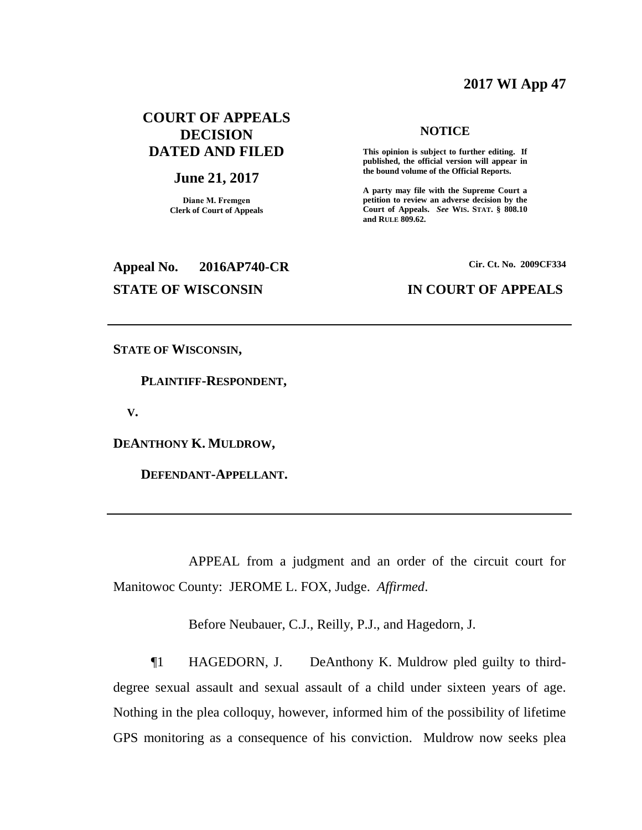## **2017 WI App 47**

## **COURT OF APPEALS DECISION DATED AND FILED**

#### **June 21, 2017**

**Diane M. Fremgen Clerk of Court of Appeals**

# **Appeal No. 2016AP740-CR Cir. Ct. No. 2009CF334 STATE OF WISCONSIN IN COURT OF APPEALS**

#### **NOTICE**

**This opinion is subject to further editing. If published, the official version will appear in the bound volume of the Official Reports.** 

**A party may file with the Supreme Court a petition to review an adverse decision by the Court of Appeals.** *See* **WIS. STAT. § 808.10 and RULE 809.62.** 

**STATE OF WISCONSIN,**

 **PLAINTIFF-RESPONDENT,**

 **V.**

**DEANTHONY K. MULDROW,**

 **DEFENDANT-APPELLANT.**

APPEAL from a judgment and an order of the circuit court for Manitowoc County: JEROME L. FOX, Judge. *Affirmed*.

Before Neubauer, C.J., Reilly, P.J., and Hagedorn, J.

¶1 HAGEDORN, J. DeAnthony K. Muldrow pled guilty to thirddegree sexual assault and sexual assault of a child under sixteen years of age. Nothing in the plea colloquy, however, informed him of the possibility of lifetime GPS monitoring as a consequence of his conviction. Muldrow now seeks plea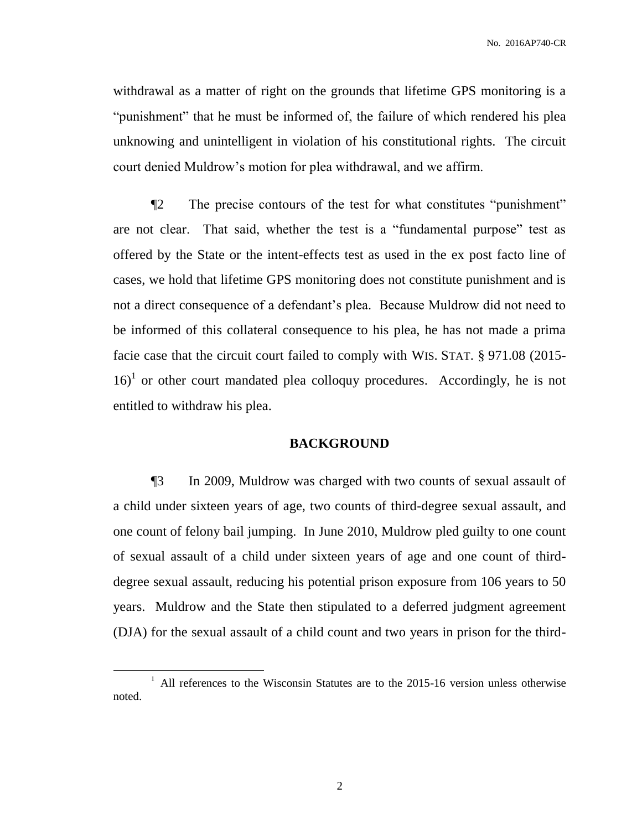withdrawal as a matter of right on the grounds that lifetime GPS monitoring is a "punishment" that he must be informed of, the failure of which rendered his plea unknowing and unintelligent in violation of his constitutional rights. The circuit court denied Muldrow's motion for plea withdrawal, and we affirm.

¶2 The precise contours of the test for what constitutes "punishment" are not clear. That said, whether the test is a "fundamental purpose" test as offered by the State or the intent-effects test as used in the ex post facto line of cases, we hold that lifetime GPS monitoring does not constitute punishment and is not a direct consequence of a defendant's plea. Because Muldrow did not need to be informed of this collateral consequence to his plea, he has not made a prima facie case that the circuit court failed to comply with WIS. STAT. § 971.08 (2015-  $16$ <sup>1</sup> or other court mandated plea colloquy procedures. Accordingly, he is not entitled to withdraw his plea.

#### **BACKGROUND**

¶3 In 2009, Muldrow was charged with two counts of sexual assault of a child under sixteen years of age, two counts of third-degree sexual assault, and one count of felony bail jumping. In June 2010, Muldrow pled guilty to one count of sexual assault of a child under sixteen years of age and one count of thirddegree sexual assault, reducing his potential prison exposure from 106 years to 50 years. Muldrow and the State then stipulated to a deferred judgment agreement (DJA) for the sexual assault of a child count and two years in prison for the third-

 $\overline{a}$ 

<sup>&</sup>lt;sup>1</sup> All references to the Wisconsin Statutes are to the 2015-16 version unless otherwise noted.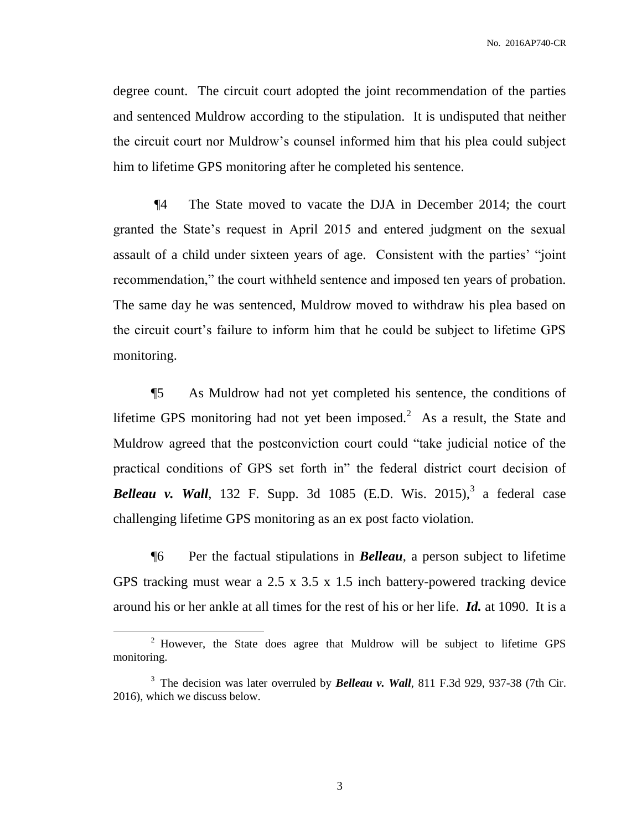degree count. The circuit court adopted the joint recommendation of the parties and sentenced Muldrow according to the stipulation. It is undisputed that neither the circuit court nor Muldrow's counsel informed him that his plea could subject him to lifetime GPS monitoring after he completed his sentence.

¶4 The State moved to vacate the DJA in December 2014; the court granted the State's request in April 2015 and entered judgment on the sexual assault of a child under sixteen years of age. Consistent with the parties' "joint recommendation," the court withheld sentence and imposed ten years of probation. The same day he was sentenced, Muldrow moved to withdraw his plea based on the circuit court's failure to inform him that he could be subject to lifetime GPS monitoring.

¶5 As Muldrow had not yet completed his sentence, the conditions of lifetime GPS monitoring had not yet been imposed.<sup>2</sup> As a result, the State and Muldrow agreed that the postconviction court could "take judicial notice of the practical conditions of GPS set forth in" the federal district court decision of **Belleau v. Wall**, 132 F. Supp. 3d 1085 (E.D. Wis. 2015),<sup>3</sup> a federal case challenging lifetime GPS monitoring as an ex post facto violation.

¶6 Per the factual stipulations in *Belleau*, a person subject to lifetime GPS tracking must wear a 2.5 x 3.5 x 1.5 inch battery-powered tracking device around his or her ankle at all times for the rest of his or her life. *Id.* at 1090. It is a

 $\overline{a}$ 

 $2$  However, the State does agree that Muldrow will be subject to lifetime GPS monitoring.

<sup>&</sup>lt;sup>3</sup> The decision was later overruled by **Belleau v. Wall**, 811 F.3d 929, 937-38 (7th Cir. 2016), which we discuss below.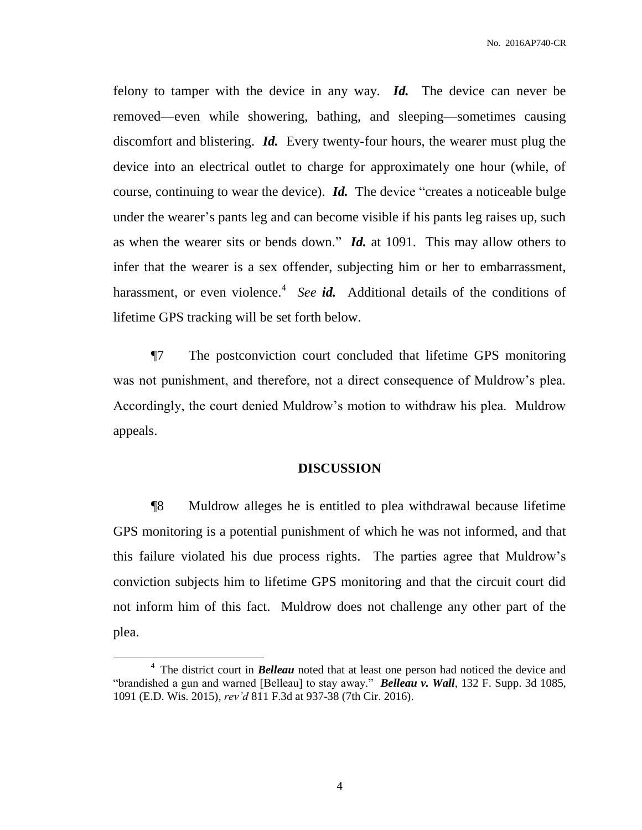felony to tamper with the device in any way. *Id.* The device can never be removed—even while showering, bathing, and sleeping—sometimes causing discomfort and blistering. *Id.* Every twenty-four hours, the wearer must plug the device into an electrical outlet to charge for approximately one hour (while, of course, continuing to wear the device). *Id.* The device "creates a noticeable bulge under the wearer's pants leg and can become visible if his pants leg raises up, such as when the wearer sits or bends down." *Id.* at 1091. This may allow others to infer that the wearer is a sex offender, subjecting him or her to embarrassment, harassment, or even violence.<sup>4</sup> See id. Additional details of the conditions of lifetime GPS tracking will be set forth below.

¶7 The postconviction court concluded that lifetime GPS monitoring was not punishment, and therefore, not a direct consequence of Muldrow's plea. Accordingly, the court denied Muldrow's motion to withdraw his plea. Muldrow appeals.

#### **DISCUSSION**

¶8 Muldrow alleges he is entitled to plea withdrawal because lifetime GPS monitoring is a potential punishment of which he was not informed, and that this failure violated his due process rights. The parties agree that Muldrow's conviction subjects him to lifetime GPS monitoring and that the circuit court did not inform him of this fact.Muldrow does not challenge any other part of the plea.

 $\overline{a}$ 

<sup>&</sup>lt;sup>4</sup> The district court in *Belleau* noted that at least one person had noticed the device and "brandished a gun and warned [Belleau] to stay away." *Belleau v. Wall*, 132 F. Supp. 3d 1085, 1091 (E.D. Wis. 2015), *rev'd* 811 F.3d at 937-38 (7th Cir. 2016).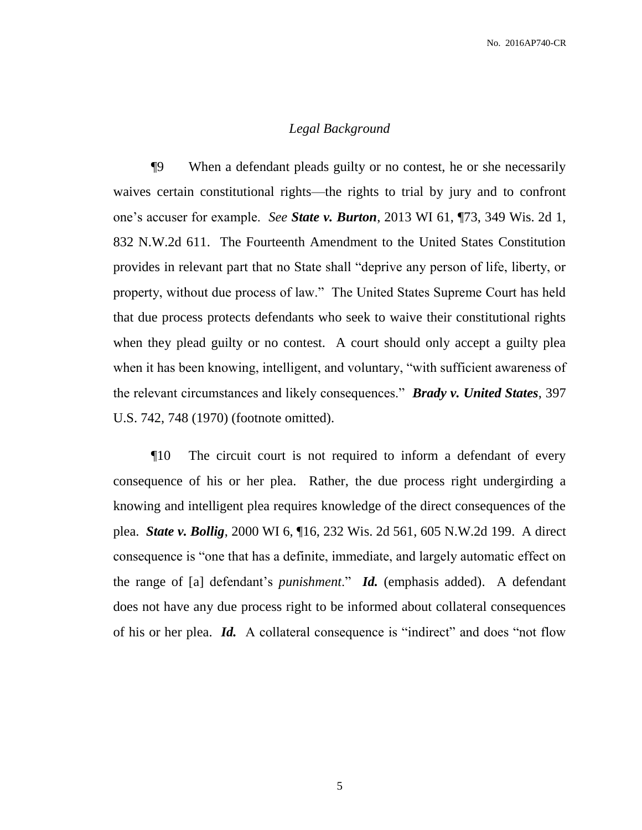### *Legal Background*

¶9 When a defendant pleads guilty or no contest, he or she necessarily waives certain constitutional rights—the rights to trial by jury and to confront one's accuser for example. *See State v. Burton*, 2013 WI 61, ¶73, 349 Wis. 2d 1, 832 N.W.2d 611. The Fourteenth Amendment to the United States Constitution provides in relevant part that no State shall "deprive any person of life, liberty, or property, without due process of law." The United States Supreme Court has held that due process protects defendants who seek to waive their constitutional rights when they plead guilty or no contest. A court should only accept a guilty plea when it has been knowing, intelligent, and voluntary, "with sufficient awareness of the relevant circumstances and likely consequences." *Brady v. United States*, 397 U.S. 742, 748 (1970) (footnote omitted).

¶10 The circuit court is not required to inform a defendant of every consequence of his or her plea. Rather, the due process right undergirding a knowing and intelligent plea requires knowledge of the direct consequences of the plea. *State v. Bollig*, 2000 WI 6, ¶16, 232 Wis. 2d 561, 605 N.W.2d 199. A direct consequence is "one that has a definite, immediate, and largely automatic effect on the range of [a] defendant's *punishment*." *Id.* (emphasis added). A defendant does not have any due process right to be informed about collateral consequences of his or her plea. *Id.* A collateral consequence is "indirect" and does "not flow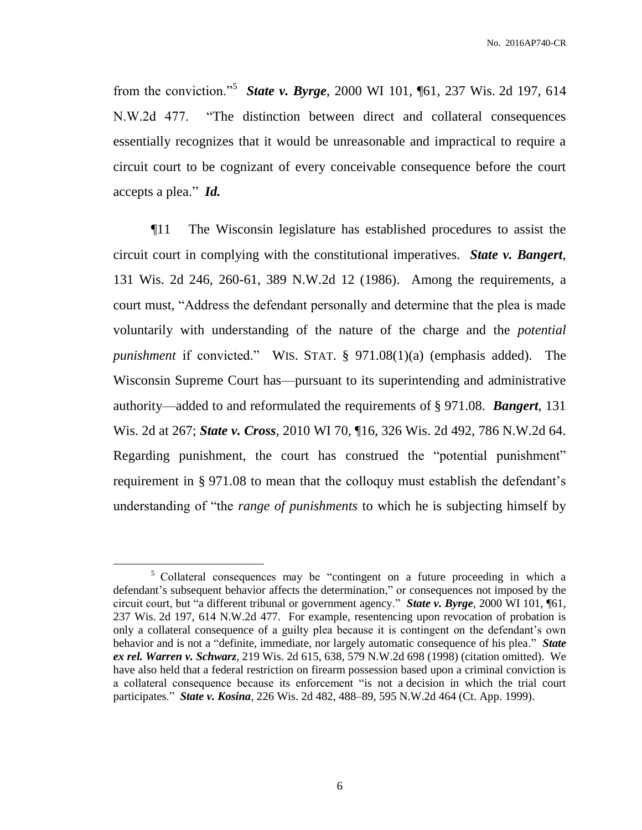from the conviction."<sup>5</sup> *State v. Byrge*, 2000 WI 101, ¶61, 237 Wis. 2d 197, 614 N.W.2d 477. "The distinction between direct and collateral consequences essentially recognizes that it would be unreasonable and impractical to require a circuit court to be cognizant of every conceivable consequence before the court accepts a plea." *Id.*

¶11 The Wisconsin legislature has established procedures to assist the circuit court in complying with the constitutional imperatives. *State v. Bangert*, 131 Wis. 2d 246, 260-61, 389 N.W.2d 12 (1986). Among the requirements, a court must, "Address the defendant personally and determine that the plea is made voluntarily with understanding of the nature of the charge and the *potential punishment* if convicted." WIS. STAT. § 971.08(1)(a) (emphasis added). The Wisconsin Supreme Court has—pursuant to its superintending and administrative authority—added to and reformulated the requirements of § 971.08. *Bangert*, 131 Wis. 2d at 267; *State v. Cross*, 2010 WI 70, ¶16, 326 Wis. 2d 492, 786 N.W.2d 64. Regarding punishment, the court has construed the "potential punishment" requirement in § 971.08 to mean that the colloquy must establish the defendant's understanding of "the *range of punishments* to which he is subjecting himself by

 $\overline{a}$ 

<sup>&</sup>lt;sup>5</sup> Collateral consequences may be "contingent on a future proceeding in which a defendant's subsequent behavior affects the determination," or consequences not imposed by the circuit court, but "a different tribunal or government agency." *State v. Byrge*, 2000 WI 101, ¶61, 237 Wis. 2d 197, 614 N.W.2d 477. For example, resentencing upon revocation of probation is only a collateral consequence of a guilty plea because it is contingent on the defendant's own behavior and is not a "definite, immediate, nor largely automatic consequence of his plea." *State ex rel. Warren v. Schwarz*, 219 Wis. 2d 615, 638, 579 N.W.2d 698 (1998) (citation omitted). We have also held that a federal restriction on firearm possession based upon a criminal conviction is a collateral consequence because its enforcement "is not a decision in which the trial court participates." *State v. Kosina*, 226 Wis. 2d 482, 488–89, 595 N.W.2d 464 (Ct. App. 1999).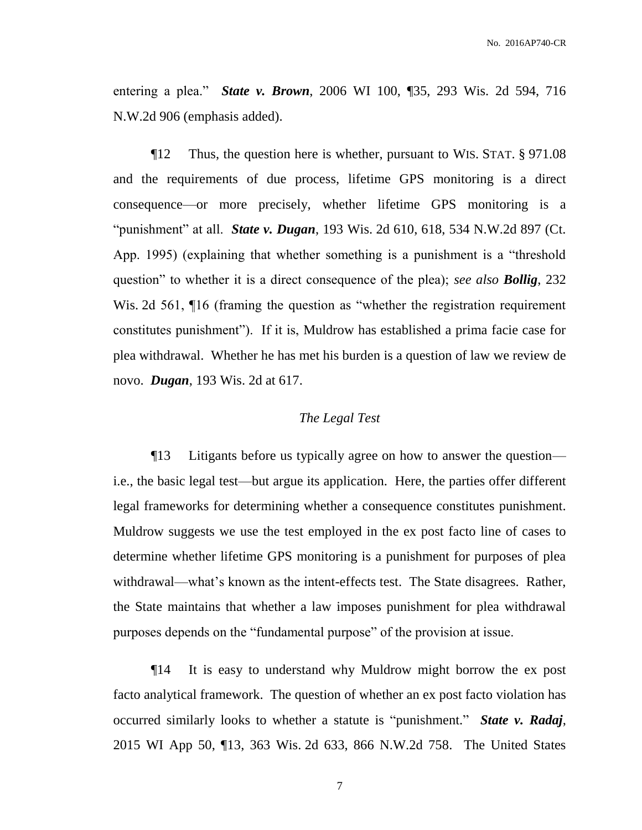entering a plea." *State v. Brown*, 2006 WI 100, ¶35, 293 Wis. 2d 594, 716 N.W.2d 906 (emphasis added).

¶12 Thus, the question here is whether, pursuant to WIS. STAT. § 971.08 and the requirements of due process, lifetime GPS monitoring is a direct consequence—or more precisely, whether lifetime GPS monitoring is a "punishment" at all. *State v. Dugan*, 193 Wis. 2d 610, 618, 534 N.W.2d 897 (Ct. App. 1995) (explaining that whether something is a punishment is a "threshold question" to whether it is a direct consequence of the plea); *see also Bollig*, 232 Wis. 2d 561,  $\P$ 16 (framing the question as "whether the registration requirement constitutes punishment"). If it is, Muldrow has established a prima facie case for plea withdrawal. Whether he has met his burden is a question of law we review de novo. *Dugan*, 193 Wis. 2d at 617.

#### *The Legal Test*

¶13 Litigants before us typically agree on how to answer the question i.e., the basic legal test—but argue its application. Here, the parties offer different legal frameworks for determining whether a consequence constitutes punishment. Muldrow suggests we use the test employed in the ex post facto line of cases to determine whether lifetime GPS monitoring is a punishment for purposes of plea withdrawal—what's known as the intent-effects test. The State disagrees. Rather, the State maintains that whether a law imposes punishment for plea withdrawal purposes depends on the "fundamental purpose" of the provision at issue.

¶14 It is easy to understand why Muldrow might borrow the ex post facto analytical framework. The question of whether an ex post facto violation has occurred similarly looks to whether a statute is "punishment." *State v. Radaj*, 2015 WI App 50, ¶13, 363 Wis. 2d 633, 866 N.W.2d 758. The United States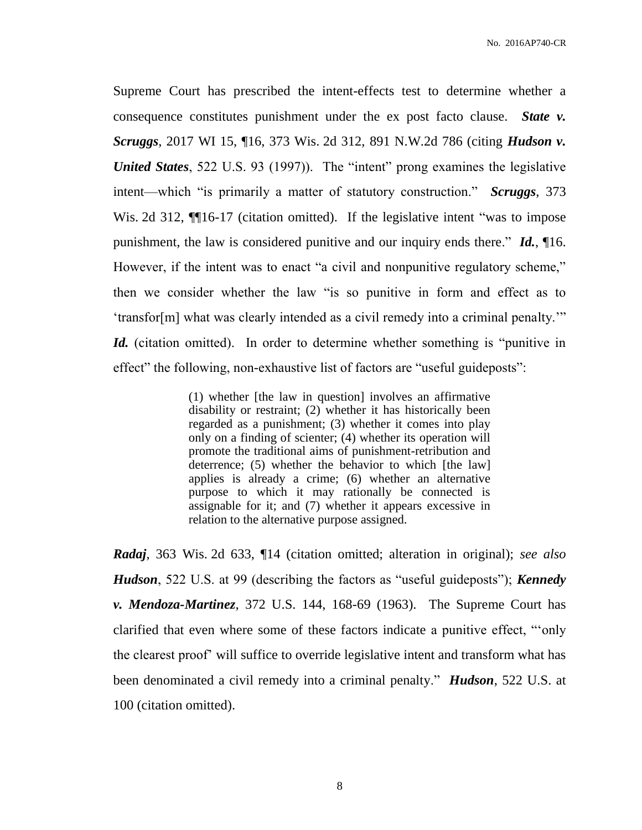Supreme Court has prescribed the intent-effects test to determine whether a consequence constitutes punishment under the ex post facto clause. *State v. Scruggs*, 2017 WI 15, ¶16, 373 Wis. 2d 312, 891 N.W.2d 786 (citing *Hudson v. United States*, 522 U.S. 93 (1997)). The "intent" prong examines the legislative intent—which "is primarily a matter of statutory construction." *Scruggs*, 373 Wis. 2d 312, **[16-17** (citation omitted). If the legislative intent "was to impose punishment, the law is considered punitive and our inquiry ends there." *Id.*, ¶16. However, if the intent was to enact "a civil and nonpunitive regulatory scheme," then we consider whether the law "is so punitive in form and effect as to 'transfor[m] what was clearly intended as a civil remedy into a criminal penalty.'" *Id.* (citation omitted). In order to determine whether something is "punitive in effect" the following, non-exhaustive list of factors are "useful guideposts":

> (1) whether [the law in question] involves an affirmative disability or restraint; (2) whether it has historically been regarded as a punishment; (3) whether it comes into play only on a finding of scienter; (4) whether its operation will promote the traditional aims of punishment-retribution and deterrence; (5) whether the behavior to which [the law] applies is already a crime; (6) whether an alternative purpose to which it may rationally be connected is assignable for it; and (7) whether it appears excessive in relation to the alternative purpose assigned.

*Radaj*, 363 Wis. 2d 633, ¶14 (citation omitted; alteration in original); *see also Hudson*, 522 U.S. at 99 (describing the factors as "useful guideposts"); *Kennedy v. Mendoza-Martinez*, 372 U.S. 144, 168-69 (1963). The Supreme Court has clarified that even where some of these factors indicate a punitive effect, "'only the clearest proof' will suffice to override legislative intent and transform what has been denominated a civil remedy into a criminal penalty." *Hudson*, 522 U.S. at 100 (citation omitted).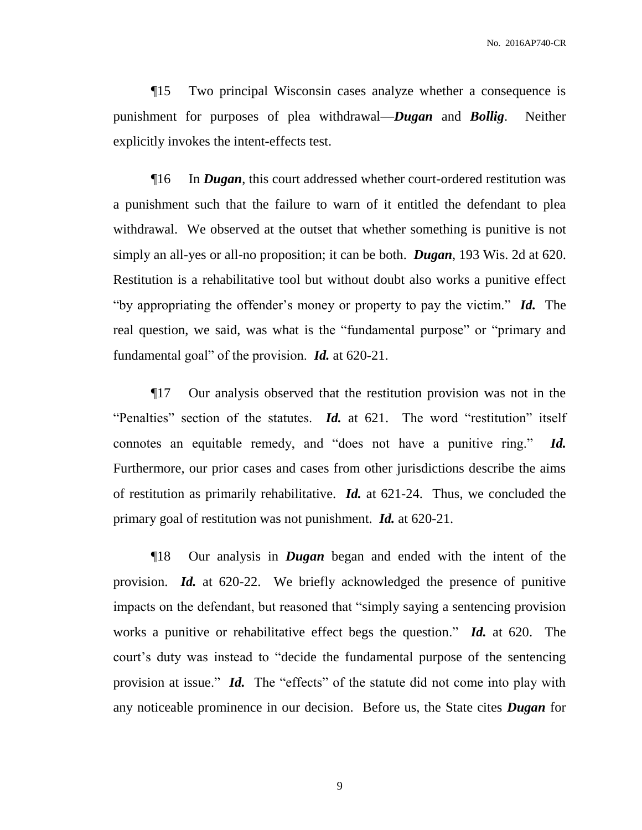¶15 Two principal Wisconsin cases analyze whether a consequence is punishment for purposes of plea withdrawal—*Dugan* and *Bollig*. Neither explicitly invokes the intent-effects test.

¶16 In *Dugan*, this court addressed whether court-ordered restitution was a punishment such that the failure to warn of it entitled the defendant to plea withdrawal. We observed at the outset that whether something is punitive is not simply an all-yes or all-no proposition; it can be both. *Dugan*, 193 Wis. 2d at 620. Restitution is a rehabilitative tool but without doubt also works a punitive effect "by appropriating the offender's money or property to pay the victim." *Id.* The real question, we said, was what is the "fundamental purpose" or "primary and fundamental goal" of the provision. *Id.* at 620-21.

¶17 Our analysis observed that the restitution provision was not in the "Penalties" section of the statutes. *Id.* at 621. The word "restitution" itself connotes an equitable remedy, and "does not have a punitive ring." *Id.* Furthermore, our prior cases and cases from other jurisdictions describe the aims of restitution as primarily rehabilitative. *Id.* at 621-24. Thus, we concluded the primary goal of restitution was not punishment. *Id.* at 620-21.

¶18 Our analysis in *Dugan* began and ended with the intent of the provision. *Id.* at 620-22.We briefly acknowledged the presence of punitive impacts on the defendant, but reasoned that "simply saying a sentencing provision works a punitive or rehabilitative effect begs the question." *Id.* at 620. The court's duty was instead to "decide the fundamental purpose of the sentencing provision at issue." *Id.* The "effects" of the statute did not come into play with any noticeable prominence in our decision. Before us, the State cites *Dugan* for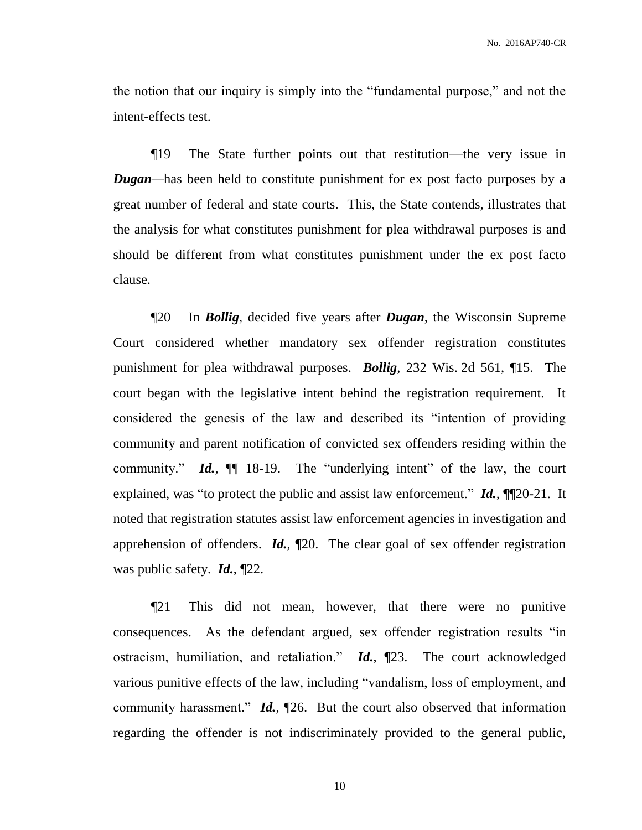the notion that our inquiry is simply into the "fundamental purpose," and not the intent-effects test.

¶19 The State further points out that restitution—the very issue in *Dugan*—has been held to constitute punishment for ex post facto purposes by a great number of federal and state courts. This, the State contends, illustrates that the analysis for what constitutes punishment for plea withdrawal purposes is and should be different from what constitutes punishment under the ex post facto clause.

¶20 In *Bollig*, decided five years after *Dugan*, the Wisconsin Supreme Court considered whether mandatory sex offender registration constitutes punishment for plea withdrawal purposes. *Bollig*, 232 Wis. 2d 561, ¶15. The court began with the legislative intent behind the registration requirement. It considered the genesis of the law and described its "intention of providing community and parent notification of convicted sex offenders residing within the community." *Id.*,  $\mathbb{I}$  18-19. The "underlying intent" of the law, the court explained, was "to protect the public and assist law enforcement." *Id.*, ¶¶20-21. It noted that registration statutes assist law enforcement agencies in investigation and apprehension of offenders. *Id.*, ¶20. The clear goal of sex offender registration was public safety. *Id.*, ¶22.

¶21 This did not mean, however, that there were no punitive consequences. As the defendant argued, sex offender registration results "in ostracism, humiliation, and retaliation." *Id.*, ¶23. The court acknowledged various punitive effects of the law, including "vandalism, loss of employment, and community harassment." *Id.*, ¶26. But the court also observed that information regarding the offender is not indiscriminately provided to the general public,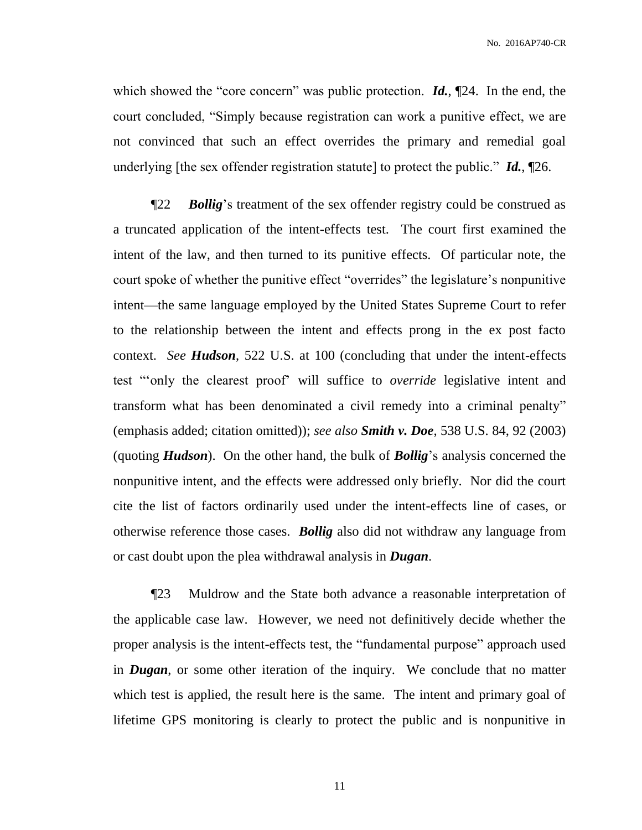which showed the "core concern" was public protection. **Id.**,  $[24$ . In the end, the court concluded, "Simply because registration can work a punitive effect, we are not convinced that such an effect overrides the primary and remedial goal underlying [the sex offender registration statute] to protect the public." *Id.*, ¶26.

¶22 *Bollig*'s treatment of the sex offender registry could be construed as a truncated application of the intent-effects test. The court first examined the intent of the law, and then turned to its punitive effects. Of particular note, the court spoke of whether the punitive effect "overrides" the legislature's nonpunitive intent—the same language employed by the United States Supreme Court to refer to the relationship between the intent and effects prong in the ex post facto context. *See Hudson*, 522 U.S. at 100 (concluding that under the intent-effects test "'only the clearest proof' will suffice to *override* legislative intent and transform what has been denominated a civil remedy into a criminal penalty" (emphasis added; citation omitted)); *see also Smith v. Doe*, 538 U.S. 84, 92 (2003) (quoting *Hudson*). On the other hand, the bulk of *Bollig*'s analysis concerned the nonpunitive intent, and the effects were addressed only briefly. Nor did the court cite the list of factors ordinarily used under the intent-effects line of cases, or otherwise reference those cases. *Bollig* also did not withdraw any language from or cast doubt upon the plea withdrawal analysis in *Dugan*.

¶23 Muldrow and the State both advance a reasonable interpretation of the applicable case law. However, we need not definitively decide whether the proper analysis is the intent-effects test, the "fundamental purpose" approach used in *Dugan*, or some other iteration of the inquiry. We conclude that no matter which test is applied, the result here is the same. The intent and primary goal of lifetime GPS monitoring is clearly to protect the public and is nonpunitive in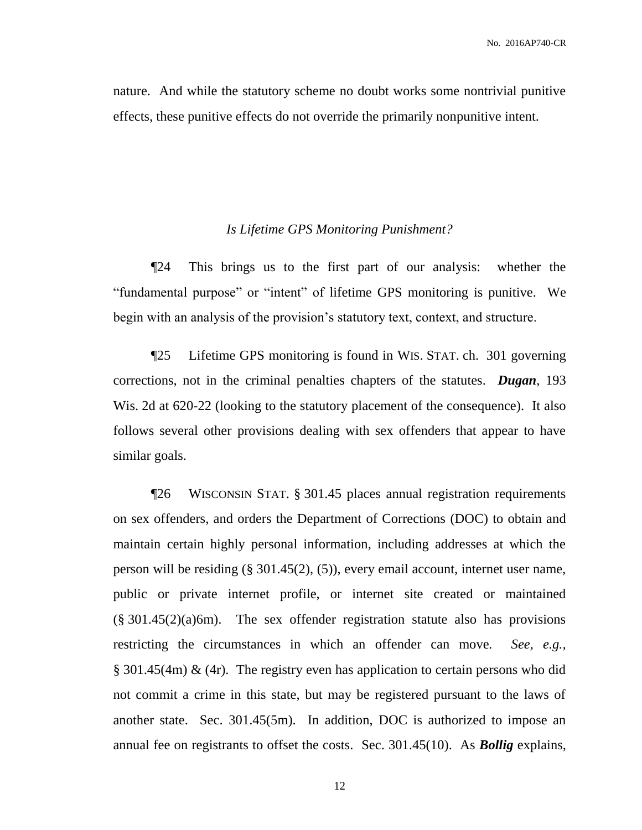nature. And while the statutory scheme no doubt works some nontrivial punitive effects, these punitive effects do not override the primarily nonpunitive intent.

#### *Is Lifetime GPS Monitoring Punishment?*

¶24 This brings us to the first part of our analysis: whether the "fundamental purpose" or "intent" of lifetime GPS monitoring is punitive. We begin with an analysis of the provision's statutory text, context, and structure.

¶25 Lifetime GPS monitoring is found in WIS. STAT. ch. 301 governing corrections, not in the criminal penalties chapters of the statutes. *Dugan*, 193 Wis. 2d at 620-22 (looking to the statutory placement of the consequence). It also follows several other provisions dealing with sex offenders that appear to have similar goals.

¶26 WISCONSIN STAT. § 301.45 places annual registration requirements on sex offenders, and orders the Department of Corrections (DOC) to obtain and maintain certain highly personal information, including addresses at which the person will be residing (§ 301.45(2), (5)), every email account, internet user name, public or private internet profile, or internet site created or maintained  $(\S$  301.45(2)(a)6m). The sex offender registration statute also has provisions restricting the circumstances in which an offender can move*. See, e.g.,* § 301.45(4m) & (4r). The registry even has application to certain persons who did not commit a crime in this state, but may be registered pursuant to the laws of another state. Sec. 301.45(5m). In addition, DOC is authorized to impose an annual fee on registrants to offset the costs. Sec. 301.45(10). As *Bollig* explains,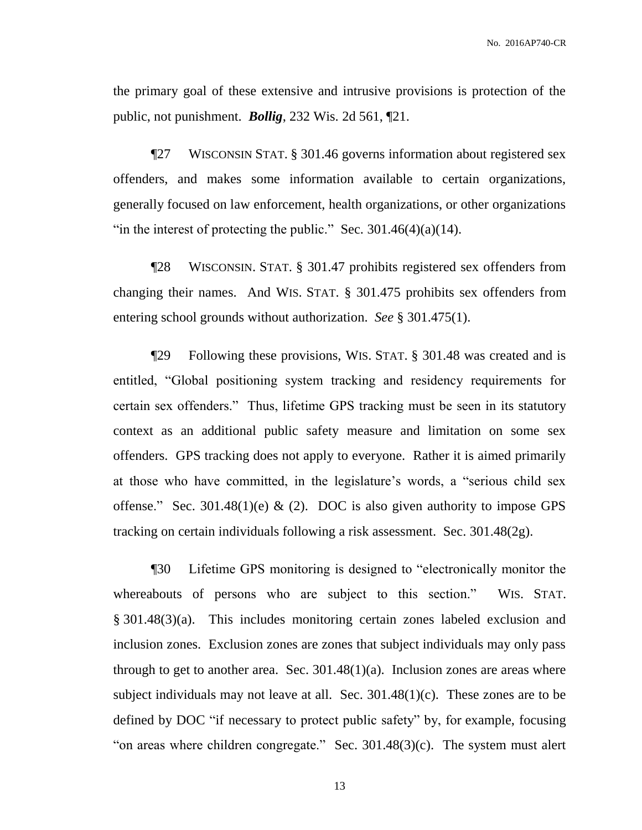the primary goal of these extensive and intrusive provisions is protection of the public, not punishment. *Bollig*, 232 Wis. 2d 561, ¶21.

¶27 WISCONSIN STAT. § 301.46 governs information about registered sex offenders, and makes some information available to certain organizations, generally focused on law enforcement, health organizations, or other organizations "in the interest of protecting the public." Sec.  $301.46(4)(a)(14)$ .

¶28 WISCONSIN. STAT. § 301.47 prohibits registered sex offenders from changing their names. And WIS. STAT. § 301.475 prohibits sex offenders from entering school grounds without authorization. *See* § 301.475(1).

¶29 Following these provisions, WIS. STAT. § 301.48 was created and is entitled, "Global positioning system tracking and residency requirements for certain sex offenders." Thus, lifetime GPS tracking must be seen in its statutory context as an additional public safety measure and limitation on some sex offenders. GPS tracking does not apply to everyone. Rather it is aimed primarily at those who have committed, in the legislature's words, a "serious child sex offense." Sec. 301.48(1)(e) & (2). DOC is also given authority to impose GPS tracking on certain individuals following a risk assessment. Sec. 301.48(2g).

¶30 Lifetime GPS monitoring is designed to "electronically monitor the whereabouts of persons who are subject to this section." WIS. STAT. § 301.48(3)(a). This includes monitoring certain zones labeled exclusion and inclusion zones. Exclusion zones are zones that subject individuals may only pass through to get to another area. Sec.  $301.48(1)(a)$ . Inclusion zones are areas where subject individuals may not leave at all. Sec.  $301.48(1)(c)$ . These zones are to be defined by DOC "if necessary to protect public safety" by, for example, focusing "on areas where children congregate." Sec. 301.48(3)(c). The system must alert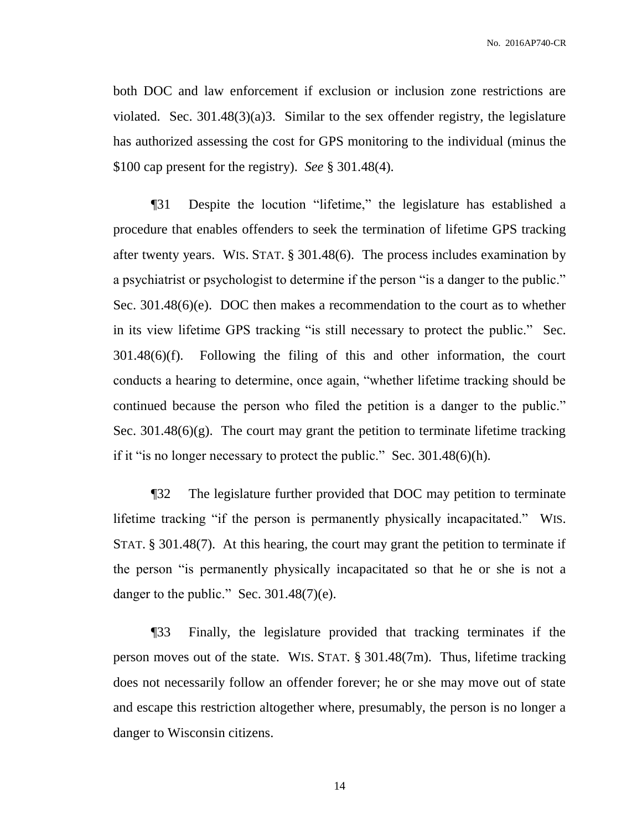both DOC and law enforcement if exclusion or inclusion zone restrictions are violated. Sec. 301.48(3)(a)3. Similar to the sex offender registry, the legislature has authorized assessing the cost for GPS monitoring to the individual (minus the \$100 cap present for the registry). *See* § 301.48(4).

¶31 Despite the locution "lifetime," the legislature has established a procedure that enables offenders to seek the termination of lifetime GPS tracking after twenty years. WIS. STAT. § 301.48(6). The process includes examination by a psychiatrist or psychologist to determine if the person "is a danger to the public." Sec. 301.48(6)(e). DOC then makes a recommendation to the court as to whether in its view lifetime GPS tracking "is still necessary to protect the public." Sec. 301.48(6)(f). Following the filing of this and other information, the court conducts a hearing to determine, once again, "whether lifetime tracking should be continued because the person who filed the petition is a danger to the public." Sec. 301.48(6)(g). The court may grant the petition to terminate lifetime tracking if it "is no longer necessary to protect the public." Sec. 301.48(6)(h).

¶32 The legislature further provided that DOC may petition to terminate lifetime tracking "if the person is permanently physically incapacitated." WIS. STAT. § 301.48(7). At this hearing, the court may grant the petition to terminate if the person "is permanently physically incapacitated so that he or she is not a danger to the public." Sec.  $301.48(7)$ (e).

¶33 Finally, the legislature provided that tracking terminates if the person moves out of the state. WIS. STAT. § 301.48(7m). Thus, lifetime tracking does not necessarily follow an offender forever; he or she may move out of state and escape this restriction altogether where, presumably, the person is no longer a danger to Wisconsin citizens.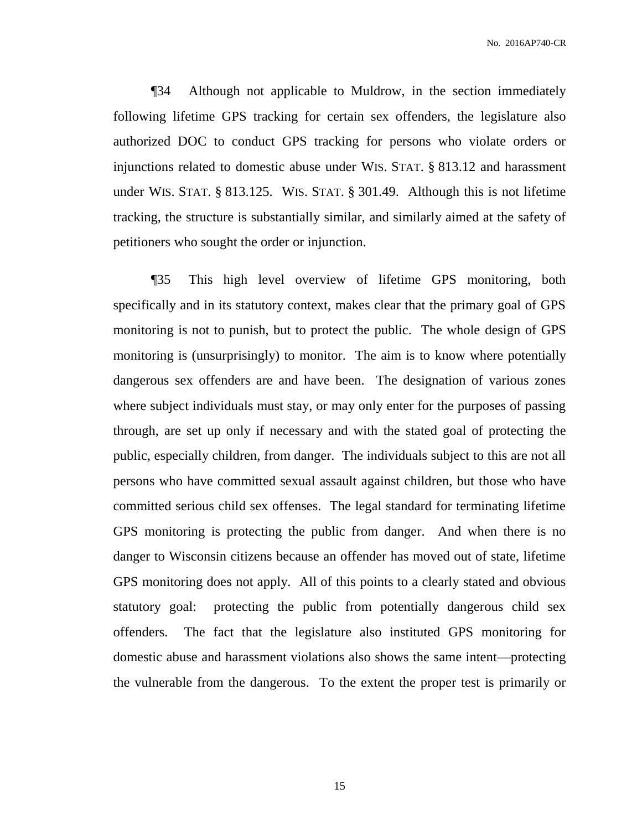¶34 Although not applicable to Muldrow, in the section immediately following lifetime GPS tracking for certain sex offenders, the legislature also authorized DOC to conduct GPS tracking for persons who violate orders or injunctions related to domestic abuse under WIS. STAT. § 813.12 and harassment under WIS. STAT. § 813.125. WIS. STAT. § 301.49. Although this is not lifetime tracking, the structure is substantially similar, and similarly aimed at the safety of petitioners who sought the order or injunction.

¶35 This high level overview of lifetime GPS monitoring, both specifically and in its statutory context, makes clear that the primary goal of GPS monitoring is not to punish, but to protect the public. The whole design of GPS monitoring is (unsurprisingly) to monitor. The aim is to know where potentially dangerous sex offenders are and have been. The designation of various zones where subject individuals must stay, or may only enter for the purposes of passing through, are set up only if necessary and with the stated goal of protecting the public, especially children, from danger. The individuals subject to this are not all persons who have committed sexual assault against children, but those who have committed serious child sex offenses. The legal standard for terminating lifetime GPS monitoring is protecting the public from danger. And when there is no danger to Wisconsin citizens because an offender has moved out of state, lifetime GPS monitoring does not apply. All of this points to a clearly stated and obvious statutory goal: protecting the public from potentially dangerous child sex offenders. The fact that the legislature also instituted GPS monitoring for domestic abuse and harassment violations also shows the same intent—protecting the vulnerable from the dangerous. To the extent the proper test is primarily or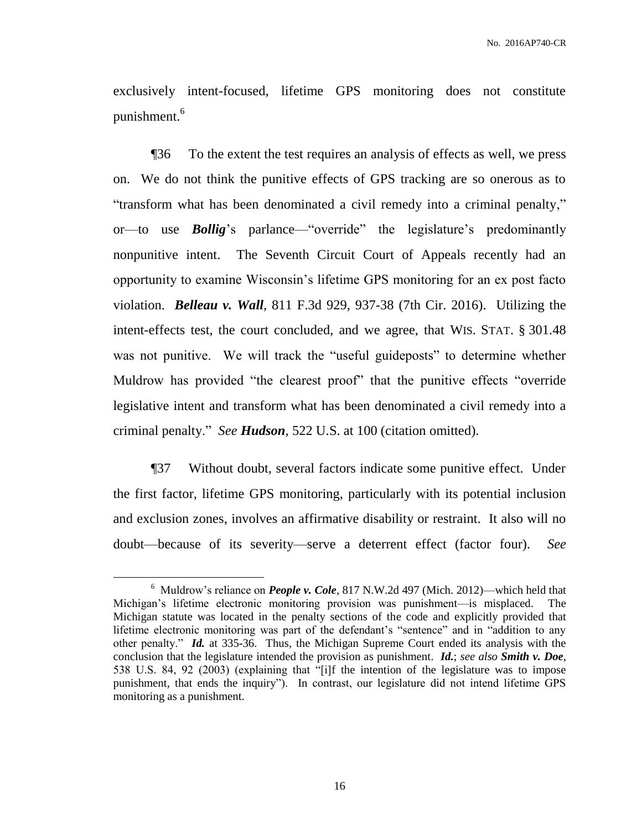exclusively intent-focused, lifetime GPS monitoring does not constitute punishment.<sup>6</sup>

¶36 To the extent the test requires an analysis of effects as well, we press on. We do not think the punitive effects of GPS tracking are so onerous as to "transform what has been denominated a civil remedy into a criminal penalty," or—to use *Bollig*'s parlance—"override" the legislature's predominantly nonpunitive intent. The Seventh Circuit Court of Appeals recently had an opportunity to examine Wisconsin's lifetime GPS monitoring for an ex post facto violation. *Belleau v. Wall*, 811 F.3d 929, 937-38 (7th Cir. 2016). Utilizing the intent-effects test, the court concluded, and we agree, that WIS. STAT. § 301.48 was not punitive. We will track the "useful guideposts" to determine whether Muldrow has provided "the clearest proof" that the punitive effects "override legislative intent and transform what has been denominated a civil remedy into a criminal penalty." *See Hudson*, 522 U.S. at 100 (citation omitted).

¶37 Without doubt, several factors indicate some punitive effect. Under the first factor, lifetime GPS monitoring, particularly with its potential inclusion and exclusion zones, involves an affirmative disability or restraint. It also will no doubt—because of its severity—serve a deterrent effect (factor four). *See* 

 $\overline{a}$ 

<sup>&</sup>lt;sup>6</sup> Muldrow's reliance on *People v. Cole*, 817 N.W.2d 497 (Mich. 2012)—which held that Michigan's lifetime electronic monitoring provision was punishment—is misplaced. The Michigan statute was located in the penalty sections of the code and explicitly provided that lifetime electronic monitoring was part of the defendant's "sentence" and in "addition to any other penalty." *Id.* at 335-36. Thus, the Michigan Supreme Court ended its analysis with the conclusion that the legislature intended the provision as punishment. *Id.*; *see also Smith v. Doe*, 538 U.S. 84, 92 (2003) (explaining that "[i]f the intention of the legislature was to impose punishment, that ends the inquiry"). In contrast, our legislature did not intend lifetime GPS monitoring as a punishment.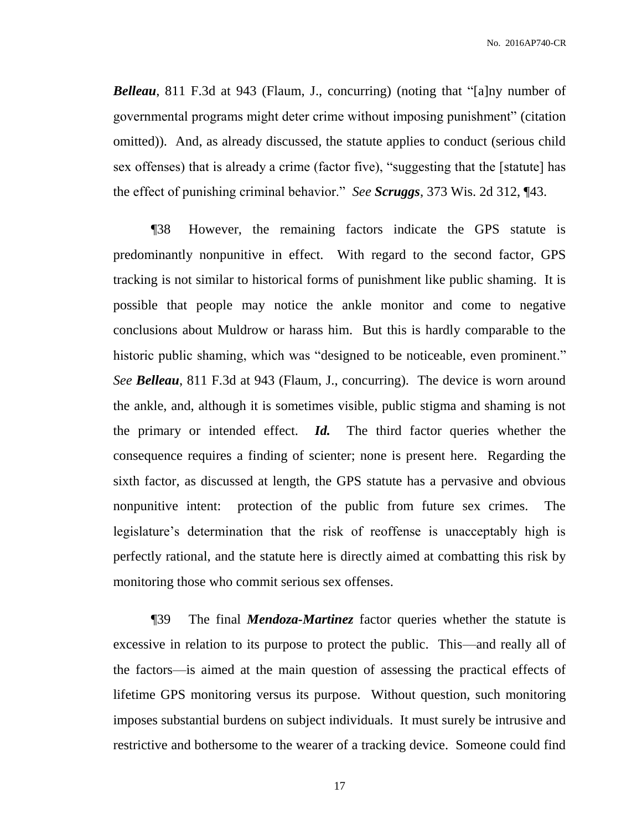*Belleau*, 811 F.3d at 943 (Flaum, J., concurring) (noting that "[a]ny number of governmental programs might deter crime without imposing punishment" (citation omitted)). And, as already discussed, the statute applies to conduct (serious child sex offenses) that is already a crime (factor five), "suggesting that the [statute] has the effect of punishing criminal behavior." *See Scruggs*, 373 Wis. 2d 312, ¶43.

¶38 However, the remaining factors indicate the GPS statute is predominantly nonpunitive in effect. With regard to the second factor, GPS tracking is not similar to historical forms of punishment like public shaming. It is possible that people may notice the ankle monitor and come to negative conclusions about Muldrow or harass him. But this is hardly comparable to the historic public shaming, which was "designed to be noticeable, even prominent." *See Belleau*, 811 F.3d at 943 (Flaum, J., concurring). The device is worn around the ankle, and, although it is sometimes visible, public stigma and shaming is not the primary or intended effect. *Id.* The third factor queries whether the consequence requires a finding of scienter; none is present here. Regarding the sixth factor, as discussed at length, the GPS statute has a pervasive and obvious nonpunitive intent: protection of the public from future sex crimes. The legislature's determination that the risk of reoffense is unacceptably high is perfectly rational, and the statute here is directly aimed at combatting this risk by monitoring those who commit serious sex offenses.

¶39 The final *Mendoza-Martinez* factor queries whether the statute is excessive in relation to its purpose to protect the public. This—and really all of the factors—is aimed at the main question of assessing the practical effects of lifetime GPS monitoring versus its purpose. Without question, such monitoring imposes substantial burdens on subject individuals. It must surely be intrusive and restrictive and bothersome to the wearer of a tracking device. Someone could find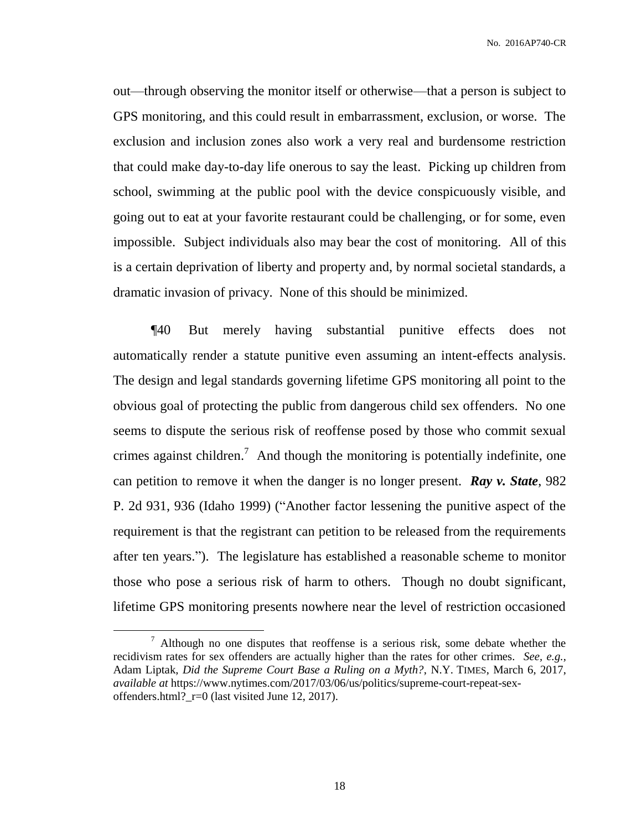out—through observing the monitor itself or otherwise—that a person is subject to GPS monitoring, and this could result in embarrassment, exclusion, or worse. The exclusion and inclusion zones also work a very real and burdensome restriction that could make day-to-day life onerous to say the least. Picking up children from school, swimming at the public pool with the device conspicuously visible, and going out to eat at your favorite restaurant could be challenging, or for some, even impossible. Subject individuals also may bear the cost of monitoring. All of this is a certain deprivation of liberty and property and, by normal societal standards, a dramatic invasion of privacy. None of this should be minimized.

¶40 But merely having substantial punitive effects does not automatically render a statute punitive even assuming an intent-effects analysis. The design and legal standards governing lifetime GPS monitoring all point to the obvious goal of protecting the public from dangerous child sex offenders. No one seems to dispute the serious risk of reoffense posed by those who commit sexual crimes against children.<sup>7</sup> And though the monitoring is potentially indefinite, one can petition to remove it when the danger is no longer present. *Ray v. State*, 982 P. 2d 931, 936 (Idaho 1999) ("Another factor lessening the punitive aspect of the requirement is that the registrant can petition to be released from the requirements after ten years."). The legislature has established a reasonable scheme to monitor those who pose a serious risk of harm to others. Though no doubt significant, lifetime GPS monitoring presents nowhere near the level of restriction occasioned

 $\overline{a}$ 

 $<sup>7</sup>$  Although no one disputes that reoffense is a serious risk, some debate whether the</sup> recidivism rates for sex offenders are actually higher than the rates for other crimes. *See, e.g.*, Adam Liptak, *Did the Supreme Court Base a Ruling on a Myth?*, N.Y. TIMES, March 6, 2017, *available at* https://www.nytimes.com/2017/03/06/us/politics/supreme-court-repeat-sexoffenders.html?  $r=0$  (last visited June 12, 2017).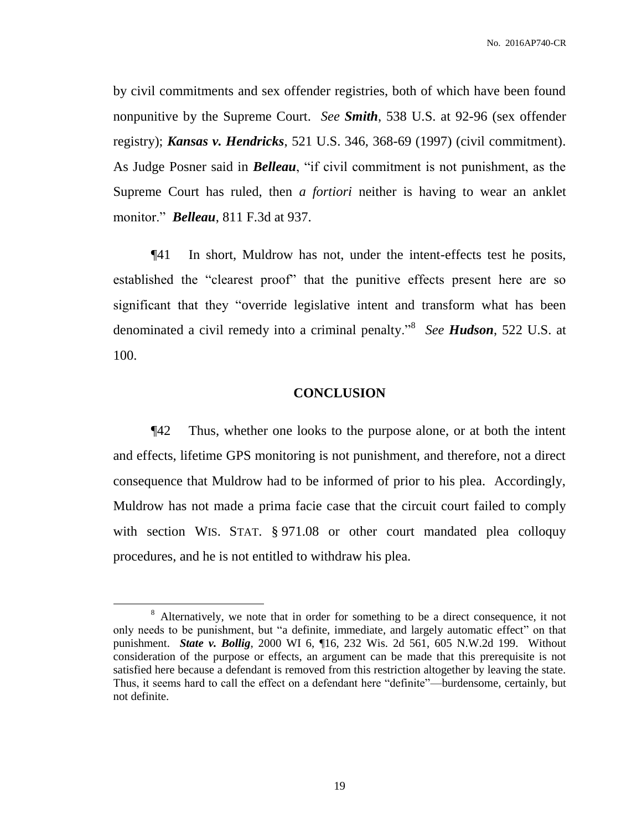by civil commitments and sex offender registries, both of which have been found nonpunitive by the Supreme Court. *See Smith*, 538 U.S. at 92-96 (sex offender registry); *Kansas v. Hendricks*, 521 U.S. 346, 368-69 (1997) (civil commitment). As Judge Posner said in *Belleau*, "if civil commitment is not punishment, as the Supreme Court has ruled, then *a fortiori* neither is having to wear an anklet monitor." *Belleau*, 811 F.3d at 937.

¶41 In short, Muldrow has not, under the intent-effects test he posits, established the "clearest proof" that the punitive effects present here are so significant that they "override legislative intent and transform what has been denominated a civil remedy into a criminal penalty."<sup>8</sup> *See Hudson*, 522 U.S. at 100.

#### **CONCLUSION**

¶42 Thus, whether one looks to the purpose alone, or at both the intent and effects, lifetime GPS monitoring is not punishment, and therefore, not a direct consequence that Muldrow had to be informed of prior to his plea. Accordingly, Muldrow has not made a prima facie case that the circuit court failed to comply with section WIS. STAT. § 971.08 or other court mandated plea colloquy procedures, and he is not entitled to withdraw his plea.

 $\overline{a}$ 

<sup>&</sup>lt;sup>8</sup> Alternatively, we note that in order for something to be a direct consequence, it not only needs to be punishment, but "a definite, immediate, and largely automatic effect" on that punishment. *State v. Bollig*, 2000 WI 6, ¶16, 232 Wis. 2d 561, 605 N.W.2d 199. Without consideration of the purpose or effects, an argument can be made that this prerequisite is not satisfied here because a defendant is removed from this restriction altogether by leaving the state. Thus, it seems hard to call the effect on a defendant here "definite"—burdensome, certainly, but not definite.